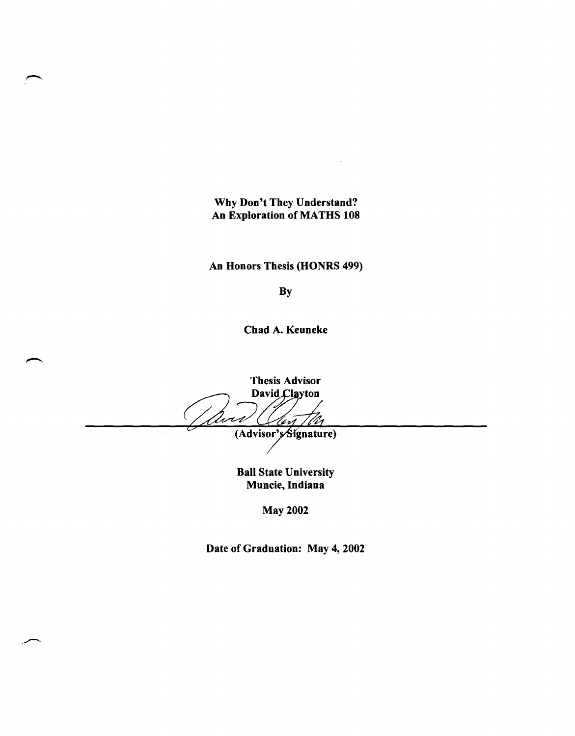Why Don't They Understand? An Exploration of MATHS 108

An Honors Thesis (HONRS 499)

By

Chad A. Keuneke

**Thesis Advisor** David Clayton Wu er1 (Advisor's Signature)

Ball State University Muncie, Indiana

May 2002

Date of Graduation: May 4, 2002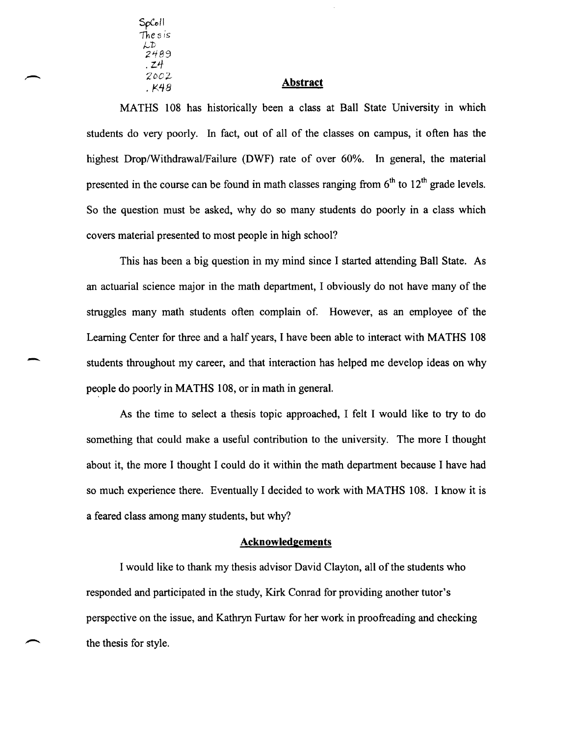SpColl The s is LD<br>2489 . Z4 *'2DC'J..-* **Abstract** 

-

MATHS 108 has historically been a class at Ball State University in which students do very poorly. In fact, out of all of the classes on campus, it often has the highest Drop/Withdrawal/Failure (DWF) rate of over 60%. In general, the material presented in the course can be found in math classes ranging from  $6<sup>th</sup>$  to  $12<sup>th</sup>$  grade levels. So the question must be asked, why do so many students do poorly in a class which covers material presented to most people in high school?

This has been a big question in my mind since I started attending Ball State. As an actuarial science major in the math department, I obviously do not have many of the struggles many math students often complain of. However, as an employee of the Learning Center for three and a half years, I have been able to interact with MATHS 108 students throughout my career, and that interaction has helped me develop ideas on why people do poorly in MATHS 108, or in math in general.

As the time to select a thesis topic approached, I felt I would like to try to do something that could make a useful contribution to the university. The more I thought about it, the more I thought I could do it within the math department because I have had so much experience there. Eventually I decided to work with MATHS 108. I know it is a feared class among many students, but why?

#### **Acknowledgements**

I would like to thank my thesis advisor David Clayton, all of the students who responded and participated in the study, Kirk Conrad for providing another tutor's perspective on the issue, and Kathryn Furtaw for her work in proofreading and checking the thesis for style.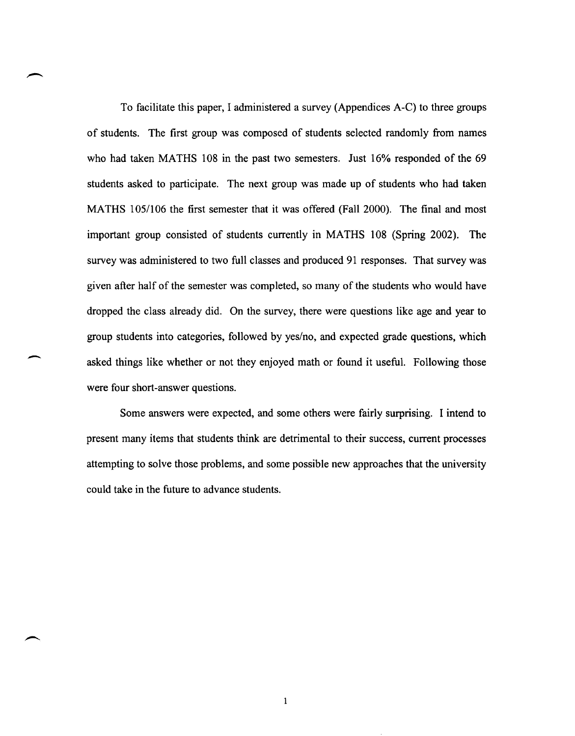To facilitate this paper, I administered a survey (Appendices A-C) to three groups of students. The first group was composed of students selected randomly from names who had taken MATHS 108 in the past two semesters. Just 16% responded of the 69 students asked to participate. The next group was made up of students who had taken MATHS 105/106 the first semester that it was offered (Fall 2000). The final and most important group consisted of students currently in MATHS 108 (Spring 2002). The survey was administered to two full classes and produced 91 responses. That survey was given after half of the semester was completed, so many of the students who would have dropped the class already did. On the survey, there were questions like age and year to group students into categories, followed by yes/no, and expected grade questions, which asked things like whether or not they enjoyed math or found it useful. Following those were four short-answer questions.

Some answers were expected, and some others were fairly surprising. I intend to present many items that students think are detrimental to their success, current processes attempting to solve those problems, and some possible new approaches that the university could take in the future to advance students.

-

 $\mathbf{1}$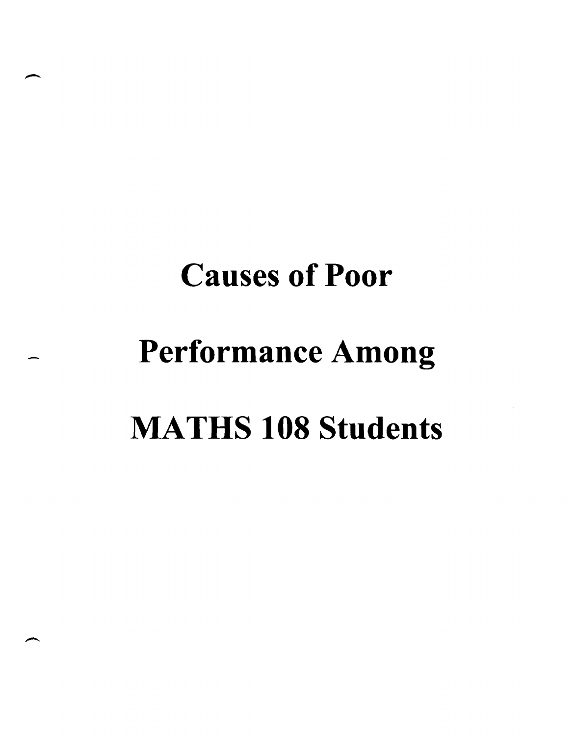# **Causes of Poor**  Performance Among MATHS **108 Students**

-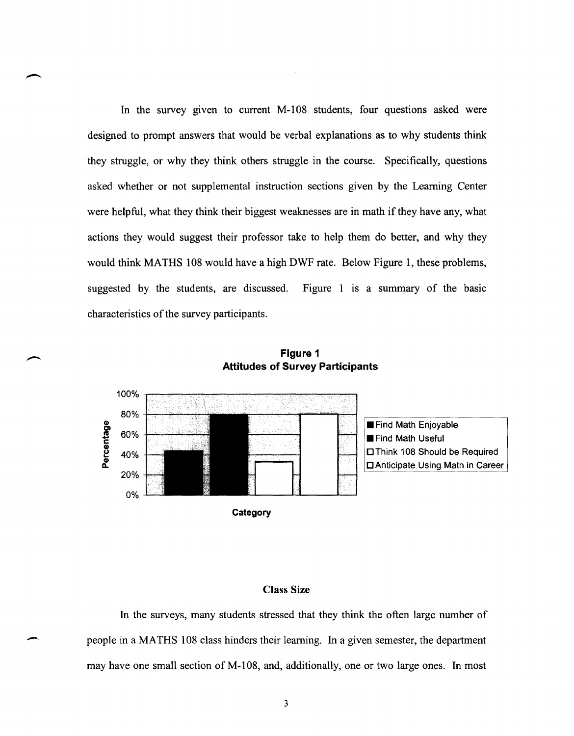In the survey given to current M-108 students, four questions asked were designed to prompt answers that would be verbal explanations as to why students think they struggle, or why they think others struggle in the course. Specifically, questions asked whether or not supplemental instruction sections given by the Learning Center were helpful, what they think their biggest weaknesses are in math if they have any, what actions they would suggest their professor take to help them do better, and why they would think MATHS 108 would have a high DWF rate. Below Figure 1, these problems, suggested by the students, are discussed. Figure 1 is a summary of the basic characteristics of the survey participants.



**Figure 1 Attitudes of Survey Participants** 

#### Class Size

In the surveys, many students stressed that they think the often large number of people in a MATHS 108 class hinders their learning. In a given semester, the department may have one small section of M-108, and, additionally, one or two large ones. In most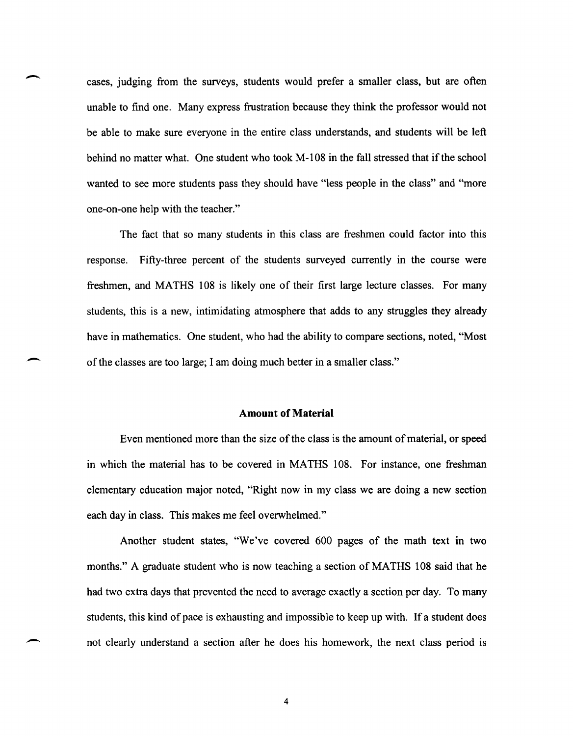cases, judging from the surveys, students would prefer a smaller class, but are often unable to find one. Many express frustration because they think the professor would not be able to make sure everyone in the entire class understands, and students will be left behind no matter what. One student who took M-108 in the fall stressed that if the school wanted to see more students pass they should have "less people in the class" and "more one-on-one help with the teacher."

-

-

-

The fact that so many students in this class are freshmen could factor into this response. Fifty-three percent of the students surveyed currently in the course were freshmen, and MATHS 108 is likely one of their first large lecture classes. For many students, this is a new, intimidating atmosphere that adds to any struggles they already have in mathematics. One student, who had the ability to compare sections, noted, "Most of the classes are too large; I am doing much better in a smaller class."

#### **Amount of Material**

Even mentioned more than the size of the class is the amount of material, or speed in which the material has to be covered in MATHS 108. For instance, one freshman elementary education major noted, "Right now in my class we are doing a new section each day in class. This makes me feel overwhelmed."

Another student states, "We've covered 600 pages of the math text in two months." A graduate student who is now teaching a section of MATHS 108 said that he had two extra days that prevented the need to average exactly a section per day. To many students, this kind of pace is exhausting and impossible to keep up with. If a student does not clearly understand a section after he does his homework, the next class period is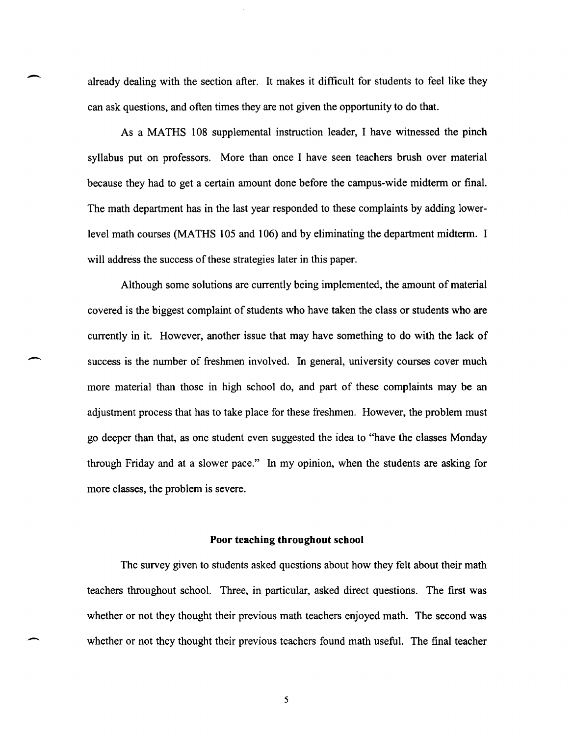already dealing with the section after. It makes it difficult for students to feel like they can ask questions, and often times they are not given the opportunity to do that.

 $\overline{\phantom{a}}$ 

-

As a MATHS 108 supplemental instruction leader, I have witnessed the pinch syllabus put on professors. More than once I have seen teachers brush over material because they had to get a certain amount done before the campus-wide midterm or final. The math department has in the last year responded to these complaints by adding lowerlevel math courses (MATHS 105 and 106) and by eliminating the department midterm. I will address the success of these strategies later in this paper.

Although some solutions are currently being implemented, the amount of material covered is the biggest complaint of students who have taken the class or students who are currently in it. However, another issue that may have something to do with the lack of success is the number of freshmen involved. In general, university courses cover much more material than those in high school do, and part of these complaints may be an adjustment process that has to take place for these freshmen. However, the problem must go deeper than that, as one student even suggested the idea to "have the classes Monday through Friday and at a slower pace." In my opinion, when the students are asking for more classes, the problem is severe.

#### **Poor teaching throughout school**

The survey given to students asked questions about how they felt about their math teachers throughout school. Three, in particular, asked direct questions. The first was whether or not they thought their previous math teachers enjoyed math. The second was whether or not they thought their previous teachers found math useful. The final teacher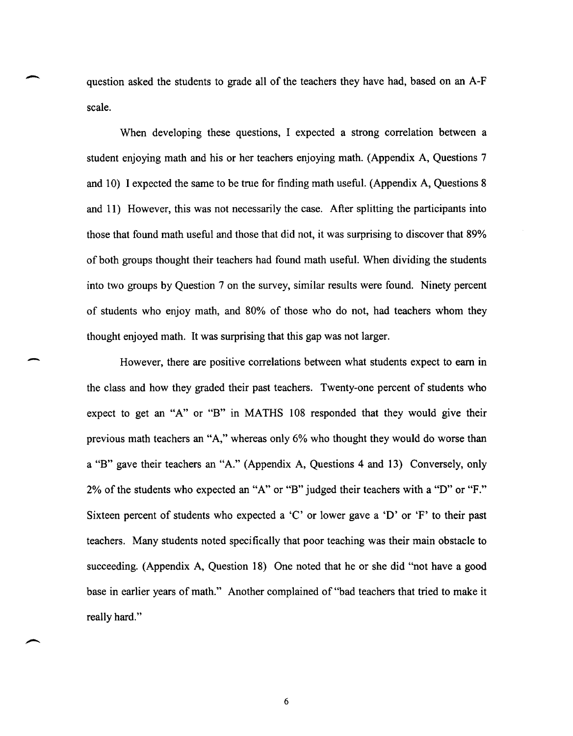question asked the students to grade all of the teachers they have had, based on an A-F scale.

-

-

When developing these questions, I expected a strong correlation between a student enjoying math and his or her teachers enjoying math. (Appendix A, Questions 7 and 10) I expected the same to be true for finding math useful. (Appendix A, Questions 8 and 11) However, this was not necessarily the case. After splitting the participants into those that found math useful and those that did not, it was surprising to discover that 89% of both groups thought their teachers had found math useful. When dividing the students into two groups by Question 7 on the survey, similar results were found. Ninety percent of students who enjoy math, and 80% of those who do not, had teachers whom they thought enjoyed math. It was surprising that this gap was not larger.

However, there are positive correlations between what students expect to earn in the class and how they graded their past teachers. Twenty-one percent of students who expect to get an "A" or "B" in MATHS 108 responded that they would give their previous math teachers an "A," whereas only 6% who thought they would do worse than a "B" gave their teachers an "A." (Appendix A, Questions 4 and 13) Conversely, only 2% of the students who expected an "A" or "B" judged their teachers with a "D" or "F." Sixteen percent of students who expected a 'C' or lower gave a 'D' or 'F' to their past teachers. Many students noted specifically that poor teaching was their main obstacle to succeeding. (Appendix A, Question 18) One noted that he or she did "not have a good base in earlier years of math." Another complained of "bad teachers that tried to make it really hard."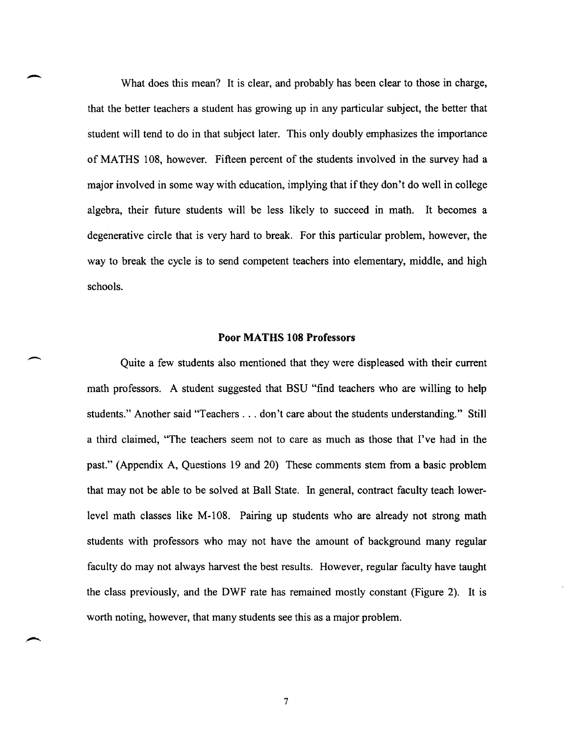What does this mean? It is clear, and probably has been clear to those in charge, that the better teachers a student has growing up in any particular subject, the better that student will tend to do in that subject later. This only doubly emphasizes the importance of MATHS 108, however. Fifteen percent of the students involved in the survey had a major involved in some way with education, implying that if they don't do well in college algebra, their future students will be less likely to succeed in math. It becomes a degenerative circle that is very hard to break. For this particular problem, however, the way to break the cycle is to send competent teachers into elementary, middle, and high schools.

-

 $\overline{\phantom{a}}$ 

#### **Poor MA THS 108 Professors**

Quite a few students also mentioned that they were displeased with their current math professors. A student suggested that BSU "find teachers who are willing to help students." Another said "Teachers ... don't care about the students understanding." Still a third claimed, "The teachers seem not to care as much as those that I've had in the past." (Appendix A, Questions 19 and 20) These comments stem from a basic problem that may not be able to be solved at Ball State. In general, contract faculty teach lowerlevel math classes like M-108. Pairing up students who are already not strong math students with professors who may not have the amount of background many regular faculty do may not always harvest the best results. However, regular faculty have taught the class previously, and the DWF rate has remained mostly constant (Figure 2). It is worth noting, however, that many students see this as a major problem.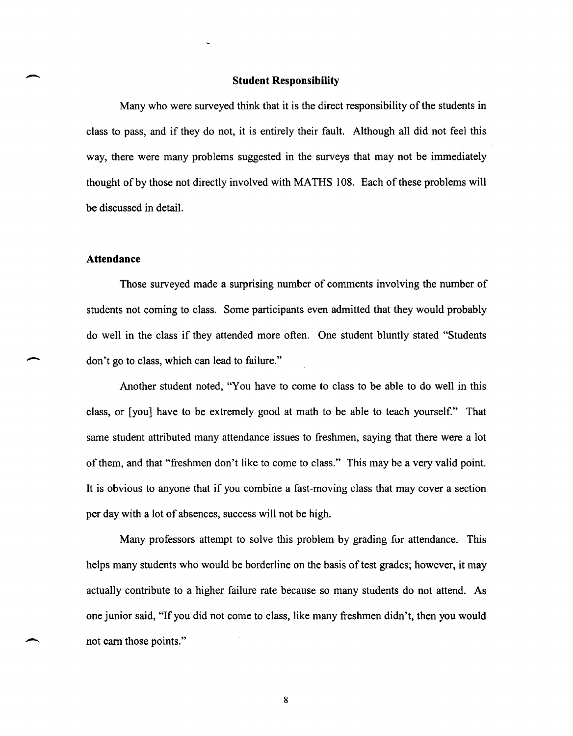#### **Student Responsibility**

Many who were surveyed think that it is the direct responsibility of the students in class to pass, and if they do not, it is entirely their fault. Although all did not feel this way, there were many problems suggested in the surveys that may not be immediately thought of by those not directly involved with MATHS 108. Each of these problems will be discussed in detail.

#### **Attendance**

 $\overline{\phantom{a}}$ 

-

Those surveyed made a surprising number of comments involving the number of students not coming to class. Some participants even admitted that they would probably do well in the class if they attended more often. One student bluntly stated "Students don't go to class, which can lead to failure."

Another student noted, "You have to come to class to be able to do well in this class, or [you] have to be extremely good at math to be able to teach yourself." That same student attributed many attendance issues to freshmen, saying that there were a lot of them, and that "freshmen don't like to come to class." This may be a very valid point. It is obvious to anyone that if you combine a fast-moving class that may cover a section per day with a lot of absences, success will not be high.

Many professors attempt to solve this problem by grading for attendance. This helps many students who would be borderline on the basis of test grades; however, it may actually contribute to a higher failure rate because so many students do not attend. As one junior said, "If you did not come to class, like many freshmen didn't, then you would not earn those points."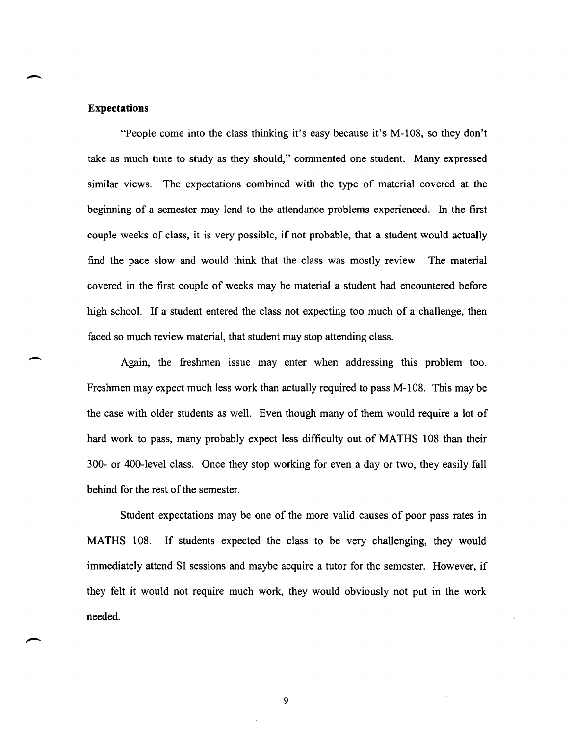#### **Expectations**

-

"People come into the class thinking it's easy because it's M-108, so they don't take as much time to study as they should," commented one student. Many expressed similar views. The expectations combined with the type of material covered at the beginning of a semester may lend to the attendance problems experienced. In the first couple weeks of class, it is very possible, if not probable, that a student would actually find the pace slow and would think that the class was mostly review. The material covered in the first couple of weeks may be material a student had encountered before high school. If a student entered the class not expecting too much of a challenge, then faced so much review material, that student may stop attending class.

Again, the freshmen issue may enter when addressing this problem too. Freshmen may expect much less work than actually required to pass M -108. This may be the case with older students as well. Even though many of them would require a lot of hard work to pass, many probably expect less difficulty out of MATHS 108 than their 300- or 400-level class. Once they stop working for even a day or two, they easily fall behind for the rest of the semester.

Student expectations may be one of the more valid causes of poor pass rates in MATHS 108. If students expected the class to be very challenging, they would immediately attend SI sessions and maybe acquire a tutor for the semester. However, if they felt it would not require much work, they would obviously not put in the work needed.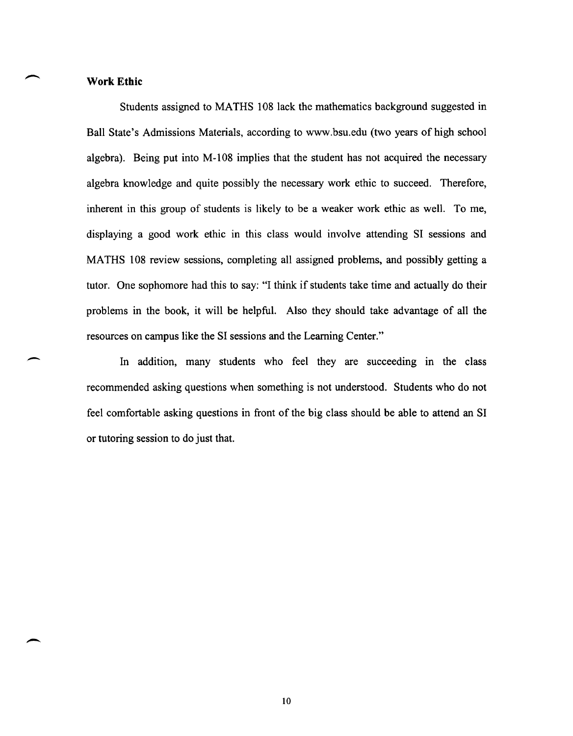#### **Work Ethic**

-

Students assigned to MATHS 108 lack the mathematics background suggested in Ball State's Admissions Materials, according to www.bsu.edu (two years of high school algebra). Being put into M-I08 implies that the student has not acquired the necessary algebra knowledge and quite possibly the necessary work ethic to succeed. Therefore, inherent in this group of students is likely to be a weaker work ethic as well. To me, displaying a good work ethic in this class would involve attending SI sessions and MATHS 108 review sessions, completing all assigned problems, and possibly getting a tutor. One sophomore had this to say: "I think if students take time and actually do their problems in the book, it will be helpful. Also they should take advantage of all the resources on campus like the SI sessions and the Learning Center."

In addition, many students who feel they are succeeding in the class recommended asking questions when something is not understood. Students who do not feel comfortable asking questions in front of the big class should be able to attend an SI or tutoring session to do just that.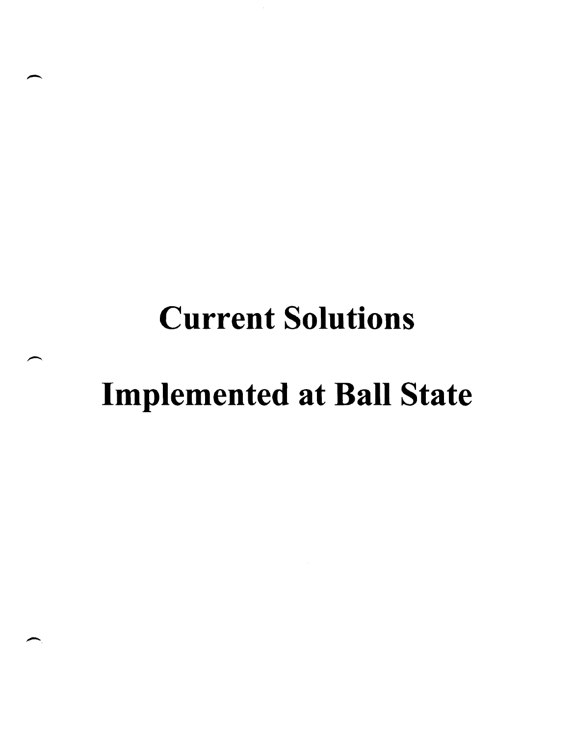## **Current Solutions**

### Implemented at Ball State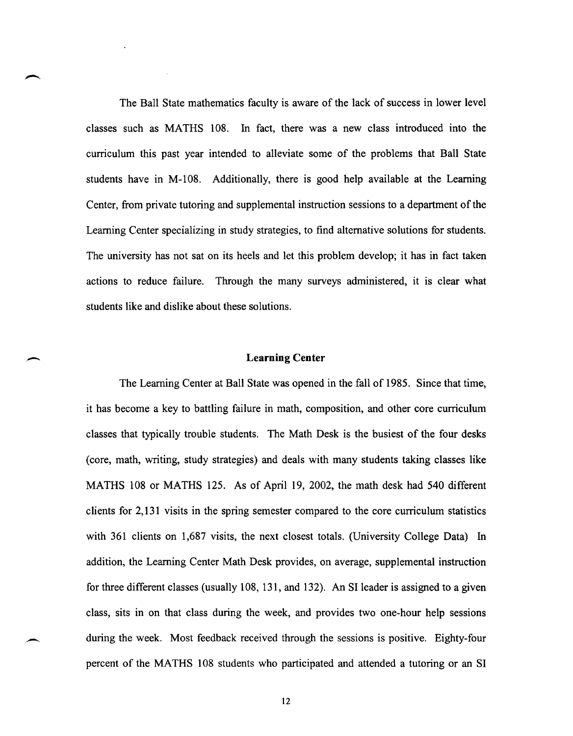The Ball State mathematics faculty is aware of the lack of success in lower level classes such as MATHS lOS. In fact, there was a new class introduced into the curriculum this past year intended to alleviate some of the problems that Ball State students have in M-10S. Additionally, there is good help available at the Learning Center, from private tutoring and supplemental instruction sessions to a department of the Learning Center specializing in study strategies, to find alternative solutions for students. The university has not sat on its heels and let this problem develop; it has in fact taken actions to reduce failure. Through the many surveys administered, it is clear what students like and dislike about these solutions.

#### **Learning Center**

The Learning Center at Ball State was opened in the fall of 19S5. Since that time, it has become a key to battling failure in math, composition, and other core curriculum classes that typically trouble students. The Math Desk is the busiest of the four desks (core, math, writing, study strategies) and deals with many students taking classes like MATHS lOS or MATHS 125. As of April 19, 2002, the math desk had 540 different clients for 2,131 visits in the spring semester compared to the core curriculum statistics with 361 clients on 1,687 visits, the next closest totals. (University College Data) In addition, the Learning Center Math Desk provides, on average, supplemental instruction for three different classes (usually lOS, 131, and 132). An SI leader is assigned to a given class, sits in on that class during the week, and provides two one-hour help sessions during the week. Most feedback received through the sessions is positive. Eighty-four percent of the MATHS lOS students who participated and attended a tutoring or an SI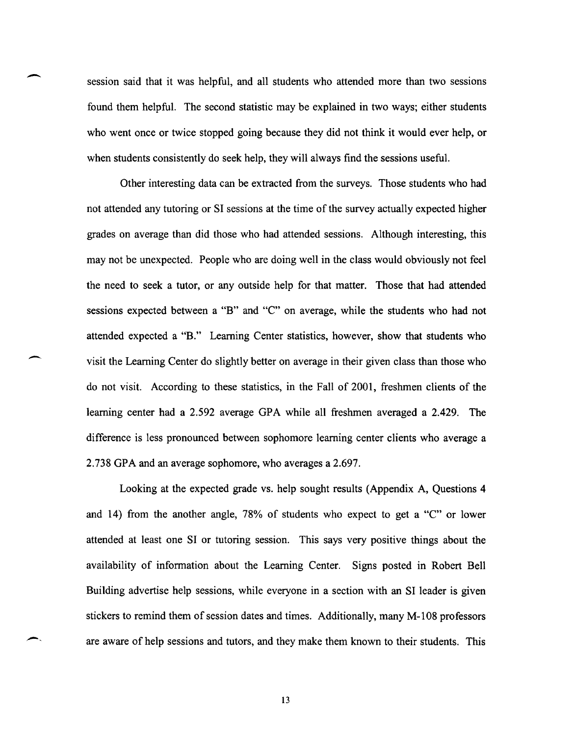session said that it was helpful, and all students who attended more than two sessions found them helpful. The second statistic may be explained in two ways; either students who went once or twice stopped going because they did not think it would ever help, or when students consistently do seek help, they will always find the sessions useful.

 $\overline{\phantom{a}}$ 

 $\overline{\phantom{a}}$ 

Other interesting data can be extracted from the surveys. Those students who had not attended any tutoring or SI sessions at the time of the survey actually expected higher grades on average than did those who had attended sessions. Although interesting, this may not be unexpected. People who are doing well in the class would obviously not feel the need to seek a tutor, or any outside help for that matter. Those that had attended sessions expected between a "B" and "C" on average, while the students who had not attended expected a "B." Learning Center statistics, however, show that students who visit the Learning Center do slightly better on average in their given class than those who do not visit. According to these statistics, in the Fall of 2001, freshmen clients of the learning center had a 2.592 average GPA while all freshmen averaged a 2.429. The difference is less pronounced between sophomore learning center clients who average a 2.738 GPA and an average sophomore, who averages a 2.697.

Looking at the expected grade vs. help sought results (Appendix A, Questions 4 and 14) from the another angle, 78% of students who expect to get a "C" or lower attended at least one SI or tutoring session. This says very positive things about the availability of information about the Learning Center. Signs posted in Robert Bell Building advertise help sessions, while everyone in a section with an SI leader is given stickers to remind them of session dates and times. Additionally, many M-l 08 professors are aware of help sessions and tutors, and they make them known to their students. This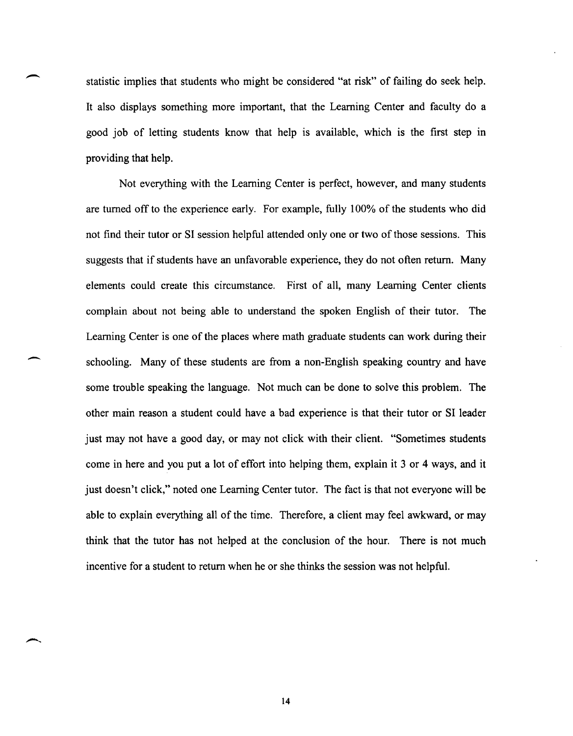statistic implies that students who might be considered "at risk" of failing do seek help. It also displays something more important, that the Learning Center and faculty do a good job of letting students know that help is available, which is the first step in providing that help.

Not everything with the Learning Center is perfect, however, and many students are turned off to the experience early. For example, fully 100% of the students who did not find their tutor or SI session helpful attended only one or two of those sessions. This suggests that if students have an unfavorable experience, they do not often return. Many elements could create this circumstance. First of all, many Learning Center clients complain about not being able to understand the spoken English of their tutor. The Learning Center is one of the places where math graduate students can work during their schooling. Many of these students are from a non-English speaking country and have some trouble speaking the language. Not much can be done to solve this problem. The other main reason a student could have a bad experience is that their tutor or SI leader just may not have a good day, or may not click with their client. "Sometimes students come in here and you put a lot of effort into helping them, explain it 3 or 4 ways, and it just doesn't click," noted one Learning Center tutor. The fact is that not everyone will be able to explain everything all of the time. Therefore, a client may feel awkward, or may think that the tutor has not helped at the conclusion of the hour. There is not much incentive for a student to return when he or she thinks the session was not helpful.

-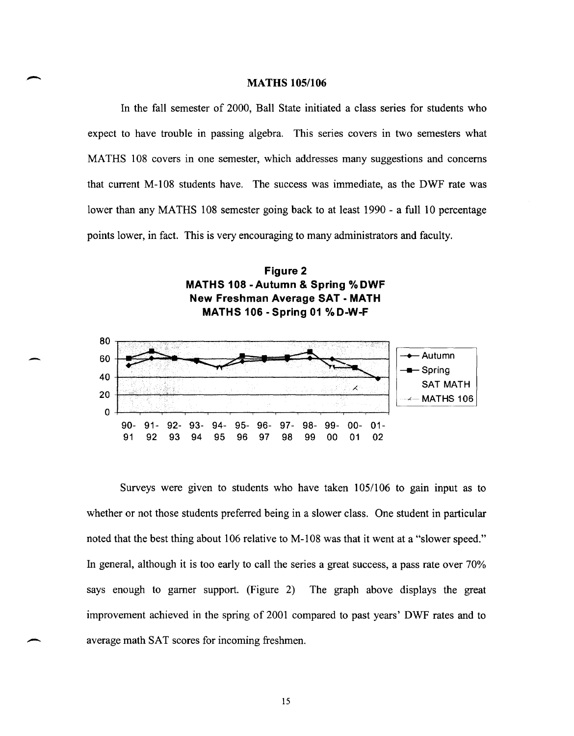#### **MATHS 105/106**

In the fall semester of 2000, Ball State initiated a class series for students who expect to have trouble in passing algebra. This series covers in two semesters what MA THS 108 covers in one semester, which addresses many suggestions and concerns that current M-I08 students have. The success was immediate, as the DWF rate was lower than any MATHS 108 semester going back to at least 1990 - a full 10 percentage points lower, in fact. This is very encouraging to many administrators and faculty.





-

Surveys were given to students who have taken 105/106 to gain input as to whether or not those students preferred being in a slower class. One student in particular noted that the best thing about 106 relative to M-I08 was that it went at a "slower speed." In general, although it is too early to call the series a great success, a pass rate over 70% says enough to garner support. (Figure 2) The graph above displays the great improvement achieved in the spring of 2001 compared to past years' DWF rates and to average math SAT scores for incoming freshmen.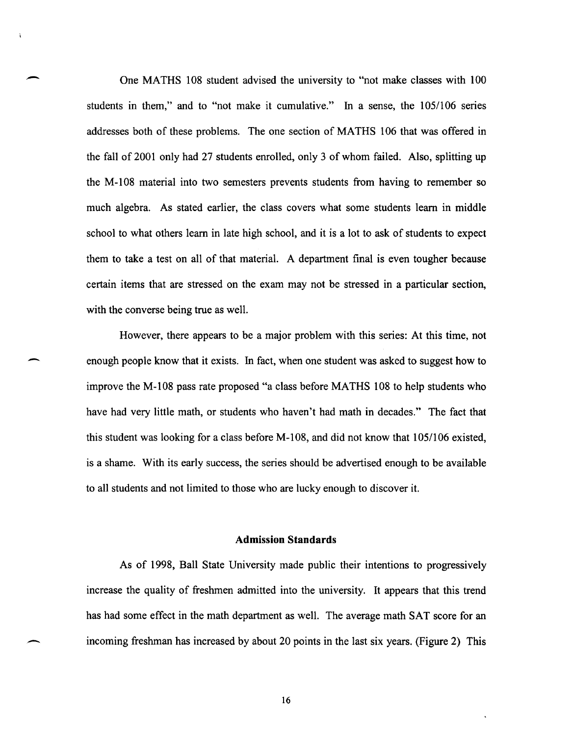One MATHS 108 student advised the university to "not make classes with 100 students in them," and to "not make it cumulative." In a sense, the 105/106 series addresses both of these problems. The one section of MATHS 106 that was offered in the fall of 2001 only had 27 students enrolled, only 3 of whom failed. Also, splitting up the M -108 material into two semesters prevents students from having to remember so much algebra. As stated earlier, the class covers what some students learn in middle school to what others learn in late high school, and it is a lot to ask of students to expect them to take a test on all of that material. A department final is even tougher because certain items that are stressed on the exam may not be stressed in a particular section, with the converse being true as well.

-

-

However, there appears to be a major problem with this series: At this time, not enough people know that it exists. In fact, when one student was asked to suggest how to improve the M-108 pass rate proposed "a class before MATHS 108 to help students who have had very little math, or students who haven't had math in decades." The fact that this student was looking for a class before M-108, and did not know that 105/106 existed, is a shame. With its early success, the series should be advertised enough to be available to all students and not limited to those who are lucky enough to discover it.

#### **Admission Standards**

As of 1998, Ball State University made public their intentions to progressively increase the quality of freshmen admitted into the university. It appears that this trend has had some effect in the math department as well. The average math SAT score for an incoming freshman has increased by about 20 points in the last six years. (Figure 2) This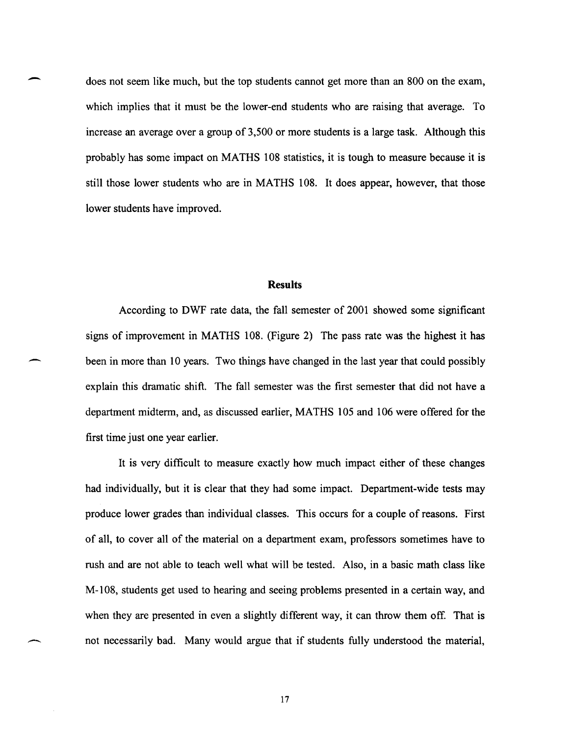does not seem like much, but the top students cannot get more than an 800 on the exam, which implies that it must be the lower-end students who are raising that average. To increase an average over a group of 3,500 or more students is a large task. Although this probably has some impact on MATHS 108 statistics, it is tough to measure because it is still those lower students who are in MATHS 108. It does appear, however, that those lower students have improved.

-

-

#### **Results**

According to DWF rate data, the fall semester of 2001 showed some significant signs of improvement in MATHS 108. (Figure 2) The pass rate was the highest it has been in more than 10 years. Two things have changed in the last year that could possibly explain this dramatic shift. The fall semester was the first semester that did not have a department midterm, and, as discussed earlier, MATHS 105 and 106 were offered for the first time just one year earlier.

It is very difficult to measure exactly how much impact either of these changes had individually, but it is clear that they had some impact. Department-wide tests may produce lower grades than individual classes. This occurs for a couple of reasons. First of all, to cover all of the material on a department exam, professors sometimes have to rush and are not able to teach well what will be tested. Also, in a basic math class like M-108, students get used to hearing and seeing problems presented in a certain way, and when they are presented in even a slightly different way, it can throw them off. That is not necessarily bad. Many would argue that if students fully understood the material,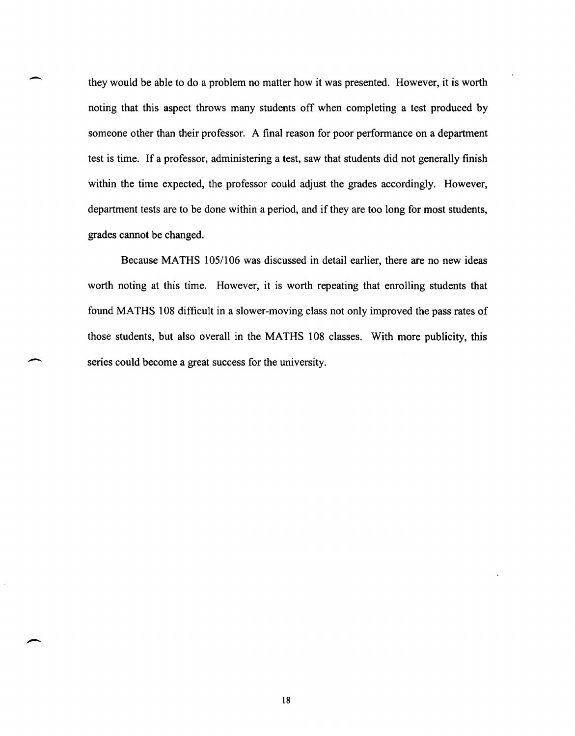they would be able to do a problem no matter how it was presented. However, it is worth noting that this aspect throws many students off when completing a test produced by someone other than their professor. A final reason for poor performance on a department test is time. If a professor, administering a test, saw that students did not generally finish within the time expected, the professor could adjust the grades accordingly. However, department tests are to be done within a period, and if they are too long for most students, grades cannot be changed.

-

 $\overline{\phantom{a}}$ 

Because MATHS 105/106 was discussed in detail earlier, there are no new ideas worth noting at this time. However, it is worth repeating that enrolling students that found MATHS 108 difficult in a slower-moving class not only improved the pass rates of those students, but also overall in the MATHS 108 classes. With more publicity, this series could become a great success for the university.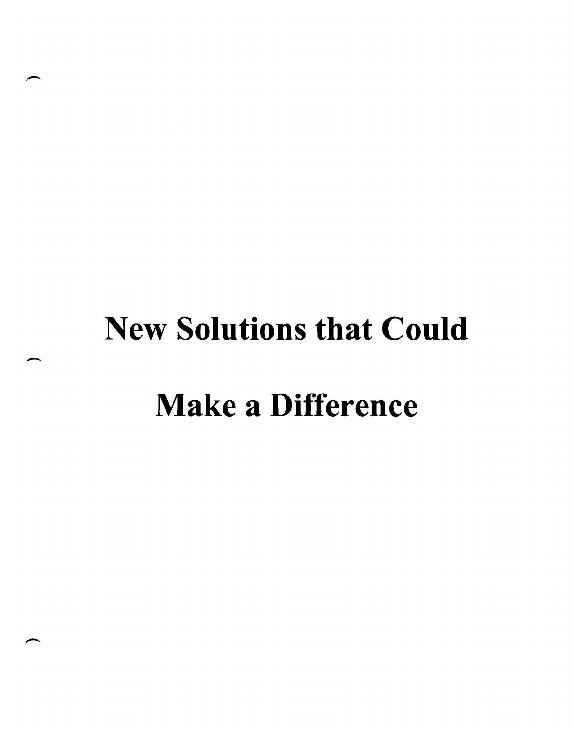### New **Solutions that Could**

### Make **a Difference**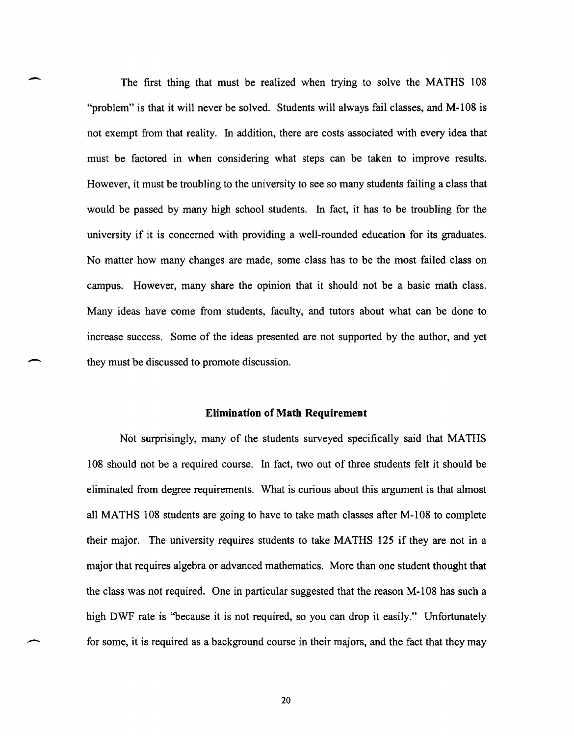The first thing that must be realized when trying to solve the MATHS 108 "problem" is that it will never be solved. Students will always fail classes, and M-108 is not exempt from that reality. In addition, there are costs associated with every idea that must be factored in when considering what steps can be taken to improve results. However, it must be troubling to the university to see so many students failing a class that would be passed by many high school students. In fact, it has to be troubling for the university if it is concerned with providing a well-rounded education for its graduates. No matter how many changes are made, some class has to be the most failed class on campus. However, many share the opinion that it should not be a basic math class. Many ideas have come from students, faculty, and tutors about what can be done to increase success. Some of the ideas presented are not supported by the author, and yet they must be discussed to promote discussion.

-

-

#### **Elimination of Math Requirement**

Not surprisingly, many of the students surveyed specifically said that MATHS 108 should not be a required course. In fact, two out of three students felt it should be eliminated from degree requirements. What is curious about this argument is that almost all MATHS 108 students are going to have to take math classes after M-108 to complete their major. The university requires students to take MATHS 125 if they are not in a major that requires algebra or advanced mathematics. More than one student thought that the class was not required. One in particular suggested that the reason M-108 has such a high DWF rate is "because it is not required, so you can drop it easily." Unfortunately for some, it is required as a background course in their majors, and the fact that they may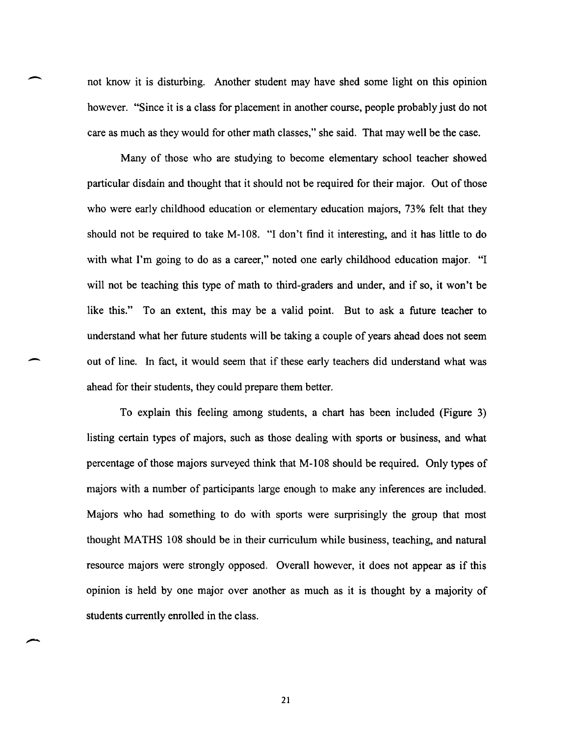not know it is disturbing. Another student may have shed some light on this opinion however. "Since it is a class for placement in another course, people probably just do not care as much as they would for other math classes," she said. That may well be the case.

-

-

Many of those who are studying to become elementary school teacher showed particular disdain and thought that it should not be required for their major. Out of those who were early childhood education or elementary education majors, 73% felt that they should not be required to take M-I08. "I don't find it interesting, and it has little to do with what I'm going to do as a career," noted one early childhood education major. "I will not be teaching this type of math to third-graders and under, and if so, it won't be like this." To an extent, this may be a valid point. But to ask a future teacher to understand what her future students will be taking a couple of years ahead does not seem out of line. In fact, it would seem that if these early teachers did understand what was ahead for their students, they could prepare them better.

To explain this feeling among students, a chart has been included (Figure 3) listing certain types of majors, such as those dealing with sports or business, and what percentage of those majors surveyed think that M-108 should be required. Only types of majors with a number of participants large enough to make any inferences are included. Majors who had something to do with sports were surprisingly the group that most thought MATHS 108 should be in their curriculum while business, teaching, and natural resource majors were strongly opposed. Overall however, it does not appear as if this opinion is held by one major over another as much as it is thought by a majority of students currently enrolled in the class.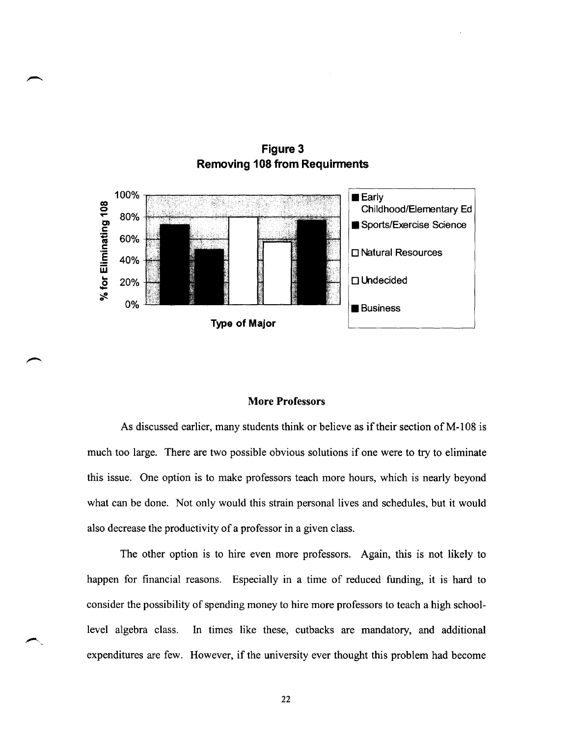

**Figure 3 Removing 108 from Requirments** 

#### **More Professors**

As discussed earlier, many students think or believe as if their section of M-108 is much too large. There are two possible obvious solutions if one were to try to eliminate this issue. One option is to make professors teach more hours, which is nearly beyond what can be done. Not only would this strain personal lives and schedules, but it would also decrease the productivity of a professor in a given class.

The other option is to hire even more professors. Again, this is not likely to happen for financial reasons. Especially in a time of reduced funding, it is hard to consider the possibility of spending money to hire more professors to teach a high schoollevel algebra class. In times like these, cutbacks are mandatory, and additional expenditures are few. However, if the university ever thought this problem had become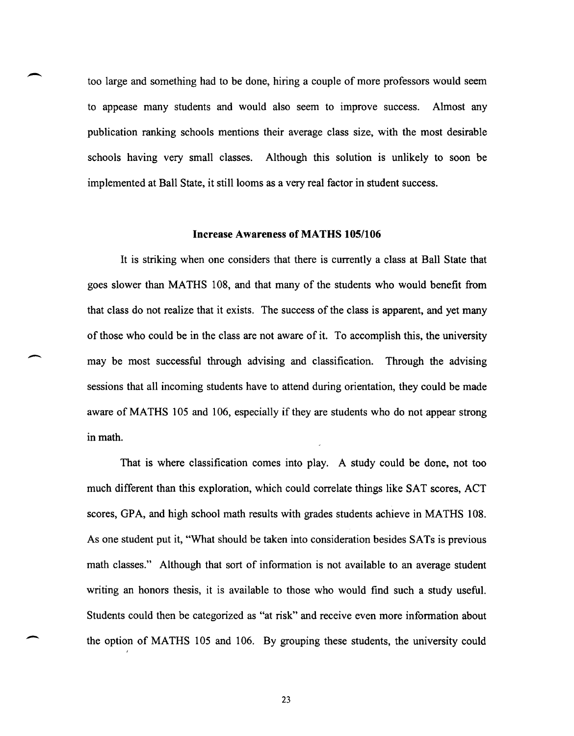too large and something had to be done, hiring a couple of more professors would seem to appease many students and would also seem to improve success. Almost any publication ranking schools mentions their average class size, with the most desirable schools having very small classes. Although this solution is unlikely to soon be implemented at Ball State, it still looms as a very real factor in student success.

-

-

-

#### **Increase Awareness of MATHS 105/106**

It is striking when one considers that there is currently a class at Ball State that goes slower than MATHS 108, and that many of the students who would benefit from that class do not realize that it exists. The success of the class is apparent, and yet many of those who could be in the class are not aware of it. To accomplish this, the university may be most successful through advising and classification. Through the advising sessions that all incoming students have to attend during orientation, they could be made aware of MATHS 105 and 106, especially if they are students who do not appear strong in math.

That is where classification comes into play. A study could be done, not too much different than this exploration, which could correlate things like SAT scores, ACT scores, GPA, and high school math results with grades students achieve in MATHS 108. As one student put it, "What should be taken into consideration besides SATs is previous math classes." Although that sort of information is not available to an average student writing an honors thesis, it is available to those who would find such a study useful. Students could then be categorized as "at risk" and receive even more information about the option of MATHS 105 and 106. By grouping these students, the university could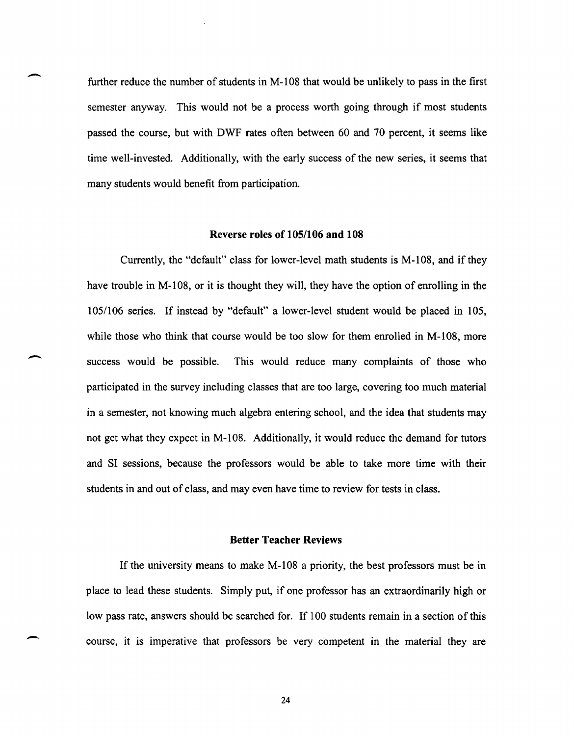further reduce the number of students in M-108 that would be unlikely to pass in the first semester anyway. This would not be a process worth going through if most students passed the course, but with DWF rates often between 60 and 70 percent, it seems like time well-invested. Additionally, with the early success of the new series, it seems that many students would benefit from participation.

 $\overline{\phantom{a}}$ 

 $\overline{\phantom{a}}$ 

-

#### **Reverse roles of 105/1 06 and 108**

Currently, the "default" class for lower-level math students is M-I0S, and if they have trouble in M-lOS, or it is thought they will, they have the option of enrolling in the 105/106 series. If instead by "default" a lower-level student would be placed in 105, while those who think that course would be too slow for them enrolled in M-108, more success would be possible. This would reduce many complaints of those who participated in the survey including classes that are too large, covering too much material in a semester, not knowing much algebra entering school, and the idea that students may not get what they expect in M-I0S. Additionally, it would reduce the demand for tutors and SI sessions, because the professors would be able to take more time with their students in and out of class, and may even have time to review for tests in class.

#### **Better Teacher Reviews**

If the university means to make M-I0S a priority, the best professors must be in place to lead these students. Simply put, if one professor has an extraordinarily high or low pass rate, answers should be searched for. If 100 students remain in a section of this course, it is imperative that professors be very competent in the material they are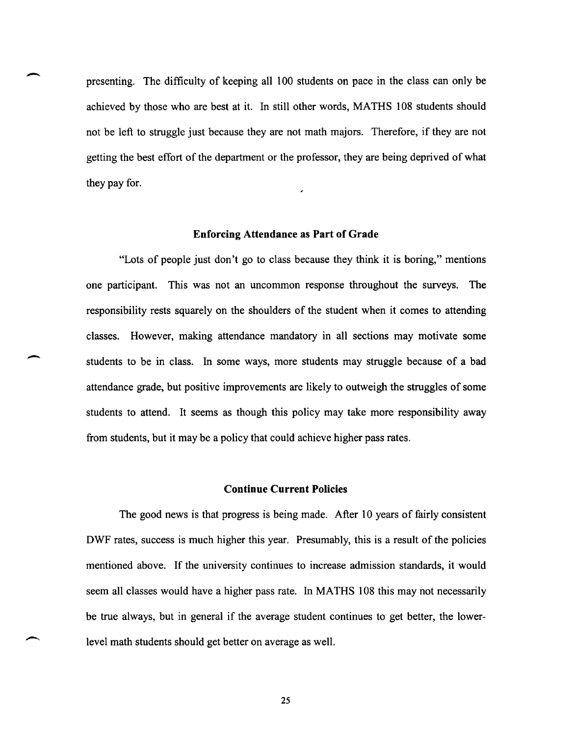presenting. The difficulty of keeping all 100 students on pace in the class can only be achieved by those who are best at it. In still other words, MATHS 108 students should not be left to struggle just because they are not math majors. Therefore, if they are not getting the best effort of the department or the professor, they are being deprived of what they pay for.

 $\overline{\phantom{a}}$ 

-

 $\overline{\phantom{0}}$ 

#### **Enforcing Attendance as Part of Grade**

"Lots of people just don't go to class because they think it is boring," mentions one participant. This was not an uncommon response throughout the surveys. The responsibility rests squarely on the shoulders of the student when it comes to attending classes. However, making attendance mandatory in all sections may motivate some students to be in class. In some ways, more students may struggle because of a bad attendance grade, but positive improvements are likely to outweigh the struggles of some students to attend. It seems as though this policy may take more responsibility away from students, but it may be a policy that could achieve higher pass rates.

#### **Continue Current Policies**

The good news is that progress is being made. After 10 years of fairly consistent DWF rates, success is much higher this year. Presumably, this is a result of the policies mentioned above. If the university continues to increase admission standards, it would seem all classes would have a higher pass rate. In MATHS 108 this may not necessarily be true always, but in general if the average student continues to get better, the lowerlevel math students should get better on average as well.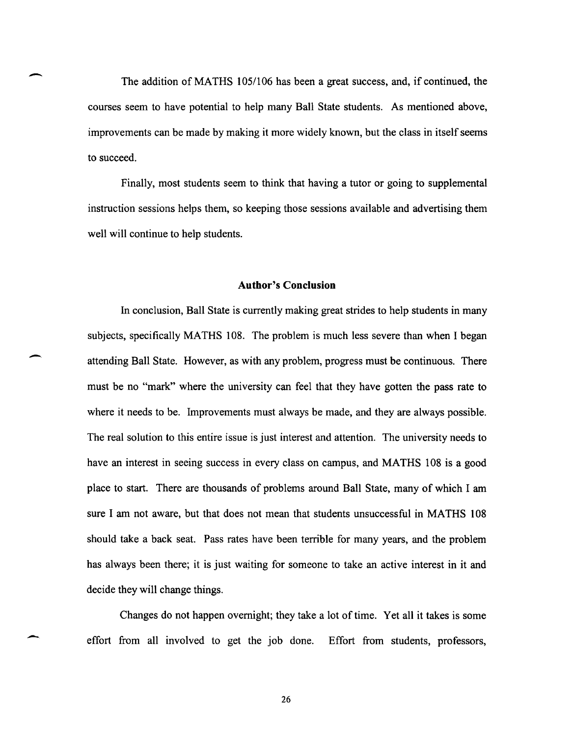The addition of MATHS 105/106 has been a great success, and, if continued, the courses seem to have potential to help many Ball State students. As mentioned above, improvements can be made by making it more widely known, but the class in itself seems to succeed.

-

-.

-

Finally, most students seem to think that having a tutor or going to supplemental instruction sessions helps them, so keeping those sessions available and advertising them well will continue to help students.

#### **Author's Conclusion**

In conclusion, Ball State is currently making great strides to help students in many subjects, specifically MATHS 108. The problem is much less severe than when I began attending Ball State. However, as with any problem, progress must be continuous. There must be no "mark" where the university can feel that they have gotten the pass rate to where it needs to be. Improvements must always be made, and they are always possible. The real solution to this entire issue is just interest and attention. The university needs to have an interest in seeing success in every class on campus, and MATHS 108 is a good place to start. There are thousands of problems around Ball State, many of which I am sure I am not aware, but that does not mean that students unsuccessful in MATHS 108 should take a back seat. Pass rates have been terrible for many years, and the problem has always been there; it is just waiting for someone to take an active interest in it and decide they will change things.

Changes do not happen overnight; they take a lot of time. Yet all it takes is some effort from all involved to get the job done. Effort from students, professors,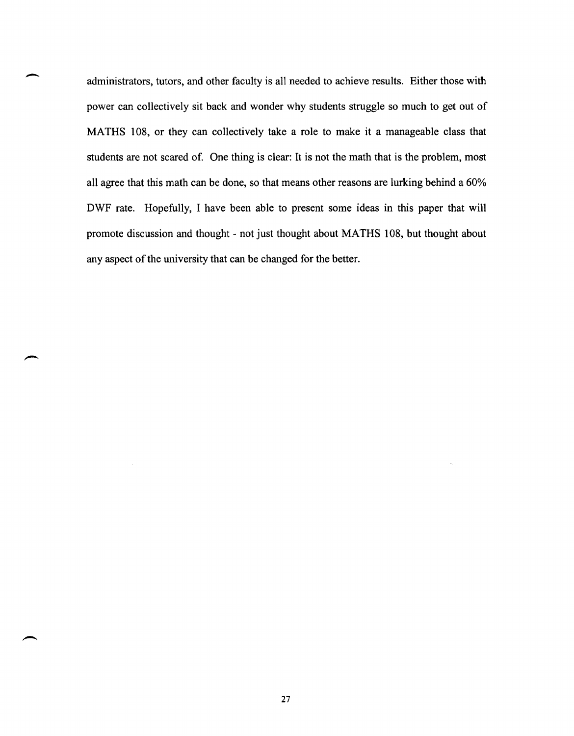administrators, tutors, and other faculty is all needed to achieve results. Either those with power can collectively sit back and wonder why students struggle so much to get out of MATHS 108, or they can collectively take a role to make it a manageable class that students are not scared of. One thing is clear: It is not the math that is the problem, most all agree that this math can be done, so that means other reasons are lurking behind a 60% DWF rate. Hopefully, I have been able to present some ideas in this paper that will promote discussion and thought - not just thought about MATHS 108, but thought about any aspect of the university that can be changed for the better.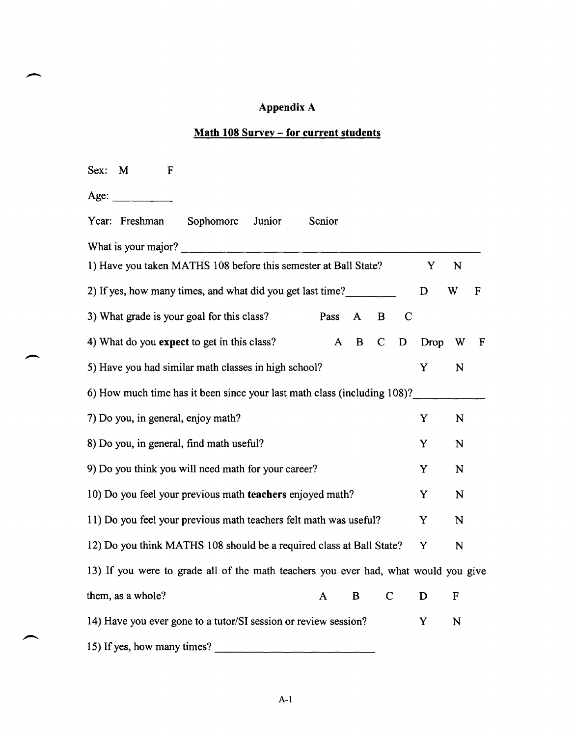#### Appendix A

### **Math 108 Survey - for current students**

| M<br>Sex:<br>F                                                                      |        |              |              |             |      |             |             |
|-------------------------------------------------------------------------------------|--------|--------------|--------------|-------------|------|-------------|-------------|
| Age:                                                                                |        |              |              |             |      |             |             |
| Year: Freshman<br>Sophomore<br>Junior                                               | Senior |              |              |             |      |             |             |
| What is your major?                                                                 |        |              |              |             |      |             |             |
| 1) Have you taken MATHS 108 before this semester at Ball State?                     |        |              |              |             | Y    | N           |             |
| 2) If yes, how many times, and what did you get last time?                          |        |              |              |             | D    | W           | $\mathbf F$ |
| 3) What grade is your goal for this class?                                          | Pass   | $\mathbf{A}$ | $\mathbf{B}$ | $\mathbf C$ |      |             |             |
| 4) What do you expect to get in this class?                                         | A      | B            | $\mathbf C$  | D           | Drop | W           | F           |
| 5) Have you had similar math classes in high school?                                |        |              |              |             | Y    | N           |             |
| 6) How much time has it been since your last math class (including 108)?            |        |              |              |             |      |             |             |
| 7) Do you, in general, enjoy math?                                                  |        |              |              |             | Y    | $\mathbf N$ |             |
| 8) Do you, in general, find math useful?                                            |        |              |              |             | Y    | N           |             |
| 9) Do you think you will need math for your career?                                 |        |              |              |             | Y    | N           |             |
| 10) Do you feel your previous math teachers enjoyed math?                           |        |              |              |             | Y    | N           |             |
| 11) Do you feel your previous math teachers felt math was useful?                   |        |              |              |             | Y    | $\mathbf N$ |             |
| 12) Do you think MATHS 108 should be a required class at Ball State?                |        |              |              |             | Y    | ${\bf N}$   |             |
| 13) If you were to grade all of the math teachers you ever had, what would you give |        |              |              |             |      |             |             |
| them, as a whole?                                                                   | A      | $\mathbf{B}$ | $\mathbf C$  |             | D    | $\mathbf F$ |             |
| 14) Have you ever gone to a tutor/SI session or review session?                     |        |              |              |             | Y    | N           |             |
| 15) If yes, how many times?                                                         |        |              |              |             |      |             |             |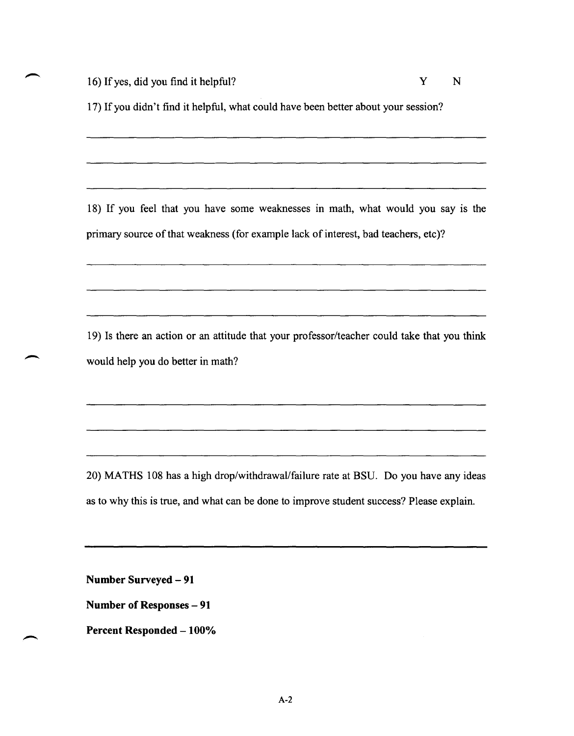16) If yes, did you find it helpful? Y N

17) If you didn't find it helpful, what could have been better about your session?

18) If you feel that you have some weaknesses in math, what would you say is the primary source of that weakness (for example lack of interest, bad teachers, etc)?

19) Is there an action or an attitude that your professor/teacher could take that you think would help you do better in math?

20) MATHS 108 has a high drop/withdrawaVfailure rate at BSU. Do you have any ideas as to why this is true, and what can be done to improve student success? Please explain.

<u>.</u><br>1906 - Jacob John Harry, amerikansk politiker (d. 1907)

**Number Surveyed - 91** 

**Number of Responses - 91** 

**Percent Responded - 100%**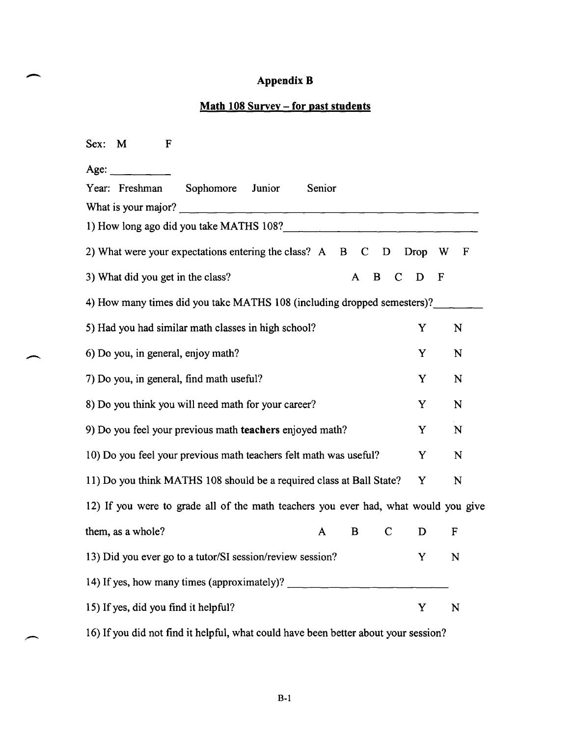#### Appendix B

#### Math 108 Survey - for past students

| Sex: M<br>F                                                                         |                                                                   |  |  |  |  |  |  |  |
|-------------------------------------------------------------------------------------|-------------------------------------------------------------------|--|--|--|--|--|--|--|
| Age:<br><u> 1999 - Jan Ja</u>                                                       |                                                                   |  |  |  |  |  |  |  |
| Sophomore Junior<br>Year: Freshman                                                  | Senior                                                            |  |  |  |  |  |  |  |
| What is your major?                                                                 |                                                                   |  |  |  |  |  |  |  |
| 1) How long ago did you take MATHS 108?                                             |                                                                   |  |  |  |  |  |  |  |
| 2) What were your expectations entering the class? A B                              | $\mathbf C$<br>Drop<br>$\mathbf F$<br>D<br>W                      |  |  |  |  |  |  |  |
| 3) What did you get in the class?                                                   | $\mathcal{C}$<br>$\mathbf F$<br>A<br>$\mathbf{B}$<br>$\mathbf{D}$ |  |  |  |  |  |  |  |
| 4) How many times did you take MATHS 108 (including dropped semesters)?             |                                                                   |  |  |  |  |  |  |  |
| 5) Had you had similar math classes in high school?                                 | N<br>Y                                                            |  |  |  |  |  |  |  |
| 6) Do you, in general, enjoy math?                                                  | Y<br>N                                                            |  |  |  |  |  |  |  |
| 7) Do you, in general, find math useful?                                            | Y<br>N                                                            |  |  |  |  |  |  |  |
| 8) Do you think you will need math for your career?                                 | Y<br>N                                                            |  |  |  |  |  |  |  |
| 9) Do you feel your previous math teachers enjoyed math?                            | Y<br>N                                                            |  |  |  |  |  |  |  |
| 10) Do you feel your previous math teachers felt math was useful?                   | Y<br>N                                                            |  |  |  |  |  |  |  |
| 11) Do you think MATHS 108 should be a required class at Ball State?                | N<br>Y                                                            |  |  |  |  |  |  |  |
| 12) If you were to grade all of the math teachers you ever had, what would you give |                                                                   |  |  |  |  |  |  |  |
| them, as a whole?                                                                   | $\mathbf C$<br>B<br>D<br>F<br>A                                   |  |  |  |  |  |  |  |
| 13) Did you ever go to a tutor/SI session/review session?                           | Y<br>N                                                            |  |  |  |  |  |  |  |
| 14) If yes, how many times (approximately)?                                         |                                                                   |  |  |  |  |  |  |  |
| 15) If yes, did you find it helpful?                                                | Y<br>N                                                            |  |  |  |  |  |  |  |
|                                                                                     |                                                                   |  |  |  |  |  |  |  |

 $\overline{\phantom{a}}$ 

16) If you did not find it helpful, what could have been better about your session?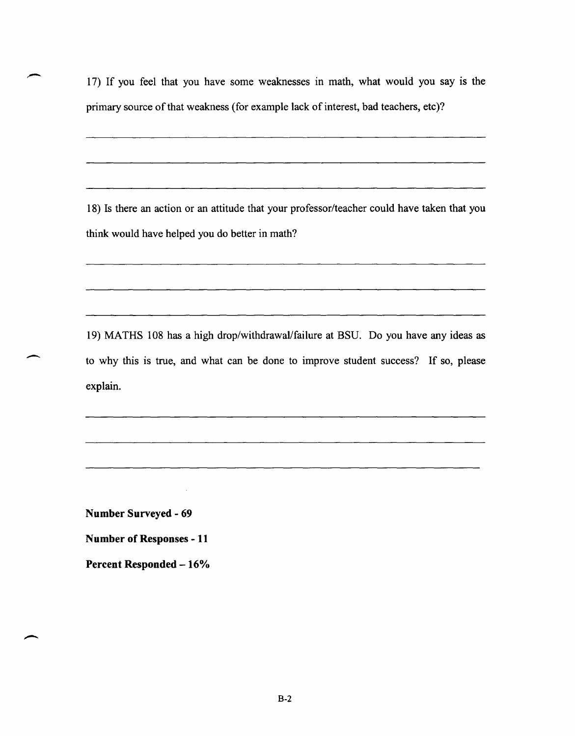17) If you feel that you have some weaknesses in math, what would you say is the primary source of that weakness (for example lack of interest, bad teachers, etc)?

18) Is there an action or an attitude that your professor/teacher could have taken that you think would have helped you do better in math?

19) MATHS 108 has a high drop/withdrawaVfailure at BSU. Do you have any ideas as to why this is true, and what can be done to improve student success? If so, please explain.

**Number Surveyed - 69** 

 $\overline{\phantom{a}}$ 

**Number of Responses - 11** 

**Percent Responded -16%**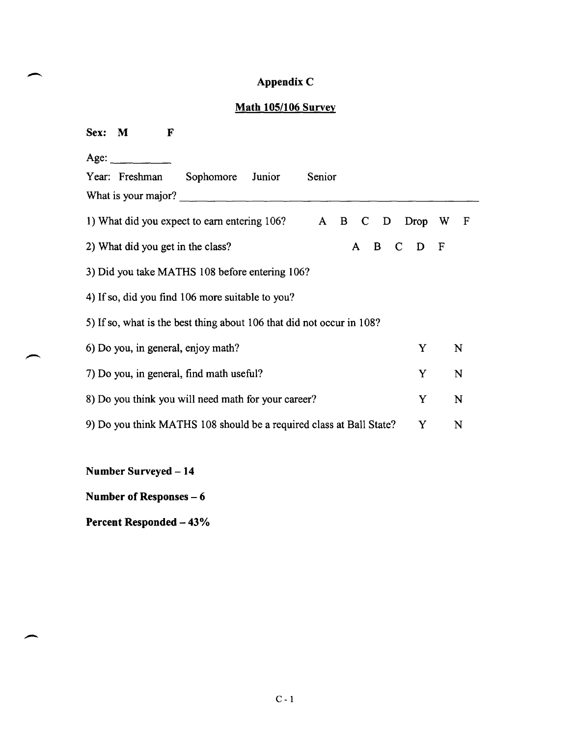### **Appendix** C

#### **Math 1051106 Survey**

| Sex: M<br>$\mathbf F$                                                           |      |        |  |  |  |  |  |
|---------------------------------------------------------------------------------|------|--------|--|--|--|--|--|
| Age:                                                                            |      |        |  |  |  |  |  |
| Year: Freshman<br>Junior<br>Senior<br>Sophomore                                 |      |        |  |  |  |  |  |
| What is your major?                                                             |      |        |  |  |  |  |  |
| 1) What did you expect to earn entering 106? A B<br>$\mathbf C$<br>$\mathbf{D}$ | Drop | W<br>F |  |  |  |  |  |
| B<br>2) What did you get in the class?<br>$\mathsf{C}$<br>$\mathsf{A}$          | D    | F      |  |  |  |  |  |
| 3) Did you take MATHS 108 before entering 106?                                  |      |        |  |  |  |  |  |
| 4) If so, did you find 106 more suitable to you?                                |      |        |  |  |  |  |  |
| 5) If so, what is the best thing about 106 that did not occur in 108?           |      |        |  |  |  |  |  |
| 6) Do you, in general, enjoy math?                                              | Y    | N      |  |  |  |  |  |
| 7) Do you, in general, find math useful?                                        | Y    | N      |  |  |  |  |  |
| 8) Do you think you will need math for your career?                             | Y    | N      |  |  |  |  |  |
| 9) Do you think MATHS 108 should be a required class at Ball State?             | Y    | N      |  |  |  |  |  |
|                                                                                 |      |        |  |  |  |  |  |

**Number Surveyed - 14** 

-.

**Number of Responses – 6** 

**Percent Responded - 43%**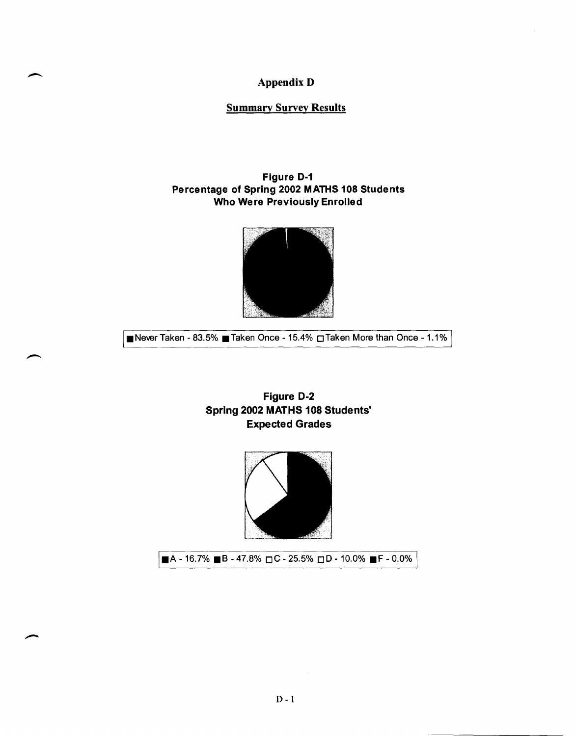#### AppendixD

#### Summary Survey Results

#### Figure 0-1 Percentage of Spring 2002 MATHS 108 Students Who Were Previously Enrolled



■Never Taken - 83.5% Taken Once - 15.4% **OTaken More than Once - 1.1%** 

#### Figure 0-2 Spring 2002 MATHS 108 Students' Expected Grades



 $\blacksquare$ A - 16.7%  $\blacksquare$ B - 47.8%  $\Box$ C - 25.5%  $\Box$ D - 10.0%  $\blacksquare$ F - 0.0%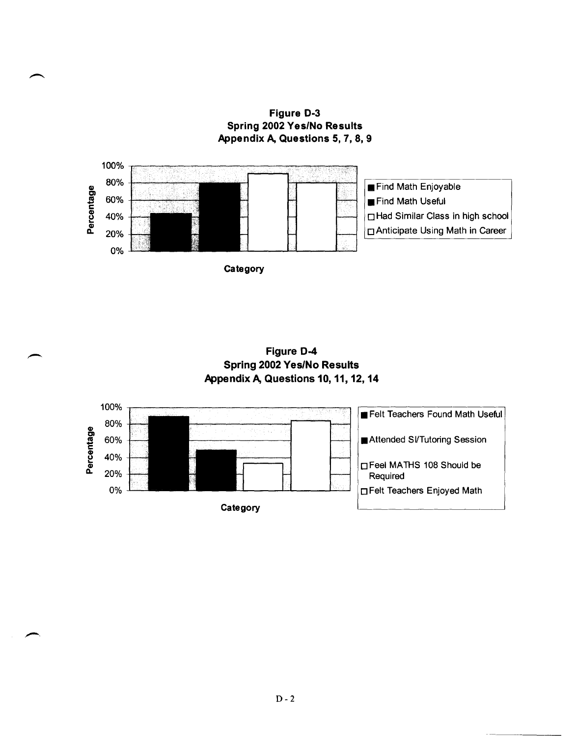Figure 0·3 Spring 2002 Yes/No Results Appendix A, Questions 5, 7, 8, 9



Figure 0-4 Spring 2002 Yes/No Results Appendix A, Questions 10, 11, 12, 14